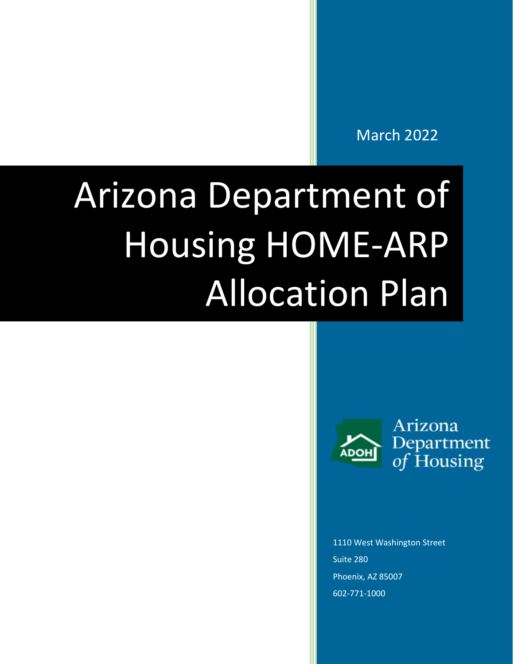March 2022

# Arizona Department of Housing HOME-ARP Allocation Plan



Arizona Department<br>of Housing

1110 West Washington Street Suite 280 Phoenix, AZ 85007 602-771-1000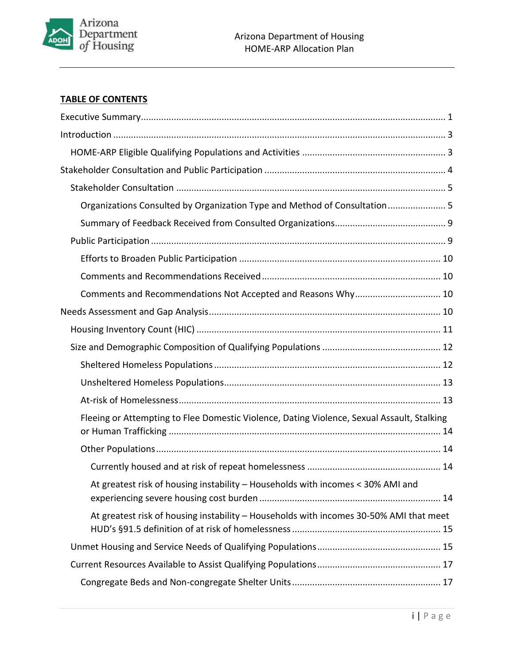

## **TABLE OF CONTENTS**

| Organizations Consulted by Organization Type and Method of Consultation 5                  |
|--------------------------------------------------------------------------------------------|
|                                                                                            |
|                                                                                            |
|                                                                                            |
|                                                                                            |
| Comments and Recommendations Not Accepted and Reasons Why 10                               |
|                                                                                            |
|                                                                                            |
|                                                                                            |
|                                                                                            |
|                                                                                            |
|                                                                                            |
| Fleeing or Attempting to Flee Domestic Violence, Dating Violence, Sexual Assault, Stalking |
|                                                                                            |
|                                                                                            |
| At greatest risk of housing instability - Households with incomes < 30% AMI and            |
| At greatest risk of housing instability - Households with incomes 30-50% AMI that meet     |
|                                                                                            |
|                                                                                            |
|                                                                                            |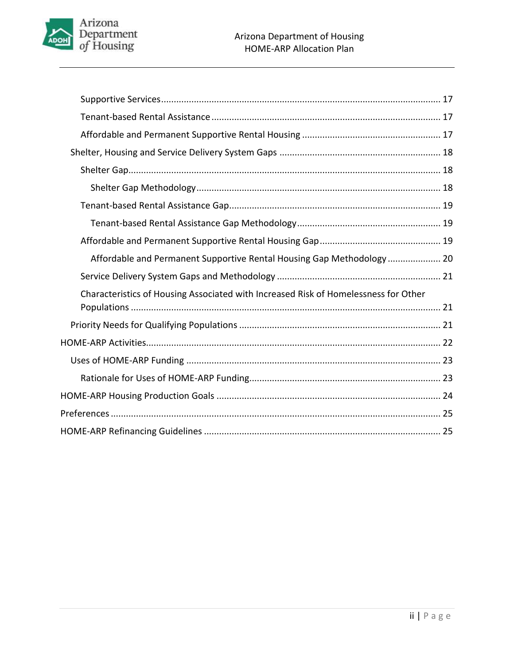

| Affordable and Permanent Supportive Rental Housing Gap Methodology 20               |  |
|-------------------------------------------------------------------------------------|--|
|                                                                                     |  |
| Characteristics of Housing Associated with Increased Risk of Homelessness for Other |  |
|                                                                                     |  |
|                                                                                     |  |
|                                                                                     |  |
|                                                                                     |  |
|                                                                                     |  |
|                                                                                     |  |
|                                                                                     |  |
|                                                                                     |  |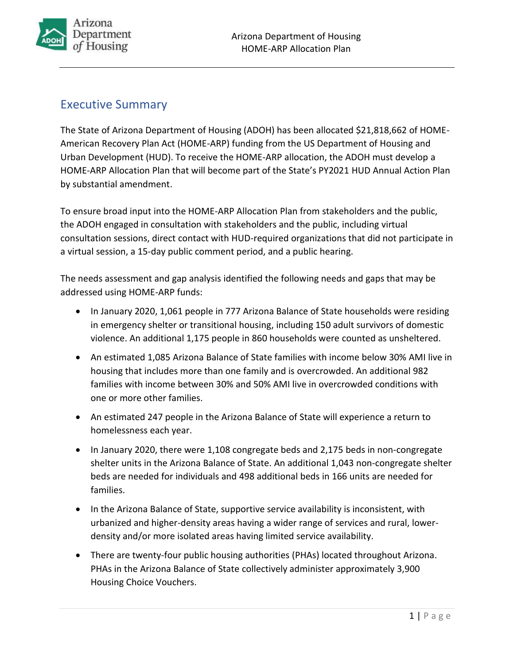

# <span id="page-3-0"></span>Executive Summary

The State of Arizona Department of Housing (ADOH) has been allocated \$21,818,662 of HOME-American Recovery Plan Act (HOME-ARP) funding from the US Department of Housing and Urban Development (HUD). To receive the HOME-ARP allocation, the ADOH must develop a HOME-ARP Allocation Plan that will become part of the State's PY2021 HUD Annual Action Plan by substantial amendment.

To ensure broad input into the HOME-ARP Allocation Plan from stakeholders and the public, the ADOH engaged in consultation with stakeholders and the public, including virtual consultation sessions, direct contact with HUD-required organizations that did not participate in a virtual session, a 15-day public comment period, and a public hearing.

The needs assessment and gap analysis identified the following needs and gaps that may be addressed using HOME-ARP funds:

- In January 2020, 1,061 people in 777 Arizona Balance of State households were residing in emergency shelter or transitional housing, including 150 adult survivors of domestic violence. An additional 1,175 people in 860 households were counted as unsheltered.
- An estimated 1,085 Arizona Balance of State families with income below 30% AMI live in housing that includes more than one family and is overcrowded. An additional 982 families with income between 30% and 50% AMI live in overcrowded conditions with one or more other families.
- An estimated 247 people in the Arizona Balance of State will experience a return to homelessness each year.
- In January 2020, there were 1,108 congregate beds and 2,175 beds in non-congregate shelter units in the Arizona Balance of State. An additional 1,043 non-congregate shelter beds are needed for individuals and 498 additional beds in 166 units are needed for families.
- In the Arizona Balance of State, supportive service availability is inconsistent, with urbanized and higher-density areas having a wider range of services and rural, lowerdensity and/or more isolated areas having limited service availability.
- There are twenty-four public housing authorities (PHAs) located throughout Arizona. PHAs in the Arizona Balance of State collectively administer approximately 3,900 Housing Choice Vouchers.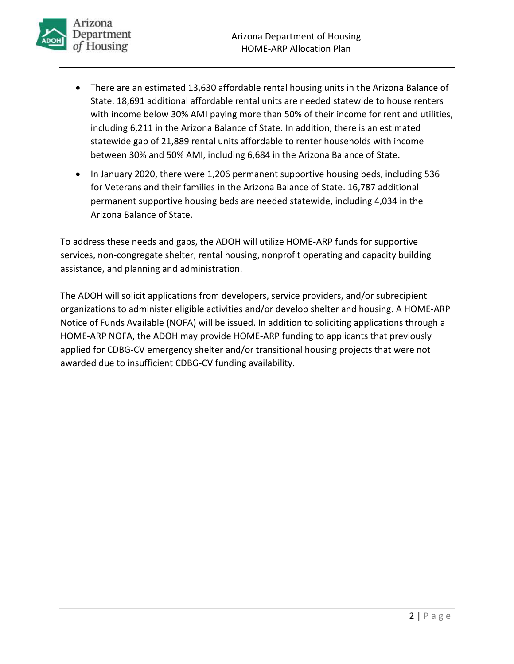

- There are an estimated 13,630 affordable rental housing units in the Arizona Balance of State. 18,691 additional affordable rental units are needed statewide to house renters with income below 30% AMI paying more than 50% of their income for rent and utilities, including 6,211 in the Arizona Balance of State. In addition, there is an estimated statewide gap of 21,889 rental units affordable to renter households with income between 30% and 50% AMI, including 6,684 in the Arizona Balance of State.
- In January 2020, there were 1,206 permanent supportive housing beds, including 536 for Veterans and their families in the Arizona Balance of State. 16,787 additional permanent supportive housing beds are needed statewide, including 4,034 in the Arizona Balance of State.

To address these needs and gaps, the ADOH will utilize HOME-ARP funds for supportive services, non-congregate shelter, rental housing, nonprofit operating and capacity building assistance, and planning and administration.

The ADOH will solicit applications from developers, service providers, and/or subrecipient organizations to administer eligible activities and/or develop shelter and housing. A HOME-ARP Notice of Funds Available (NOFA) will be issued. In addition to soliciting applications through a HOME-ARP NOFA, the ADOH may provide HOME-ARP funding to applicants that previously applied for CDBG-CV emergency shelter and/or transitional housing projects that were not awarded due to insufficient CDBG-CV funding availability.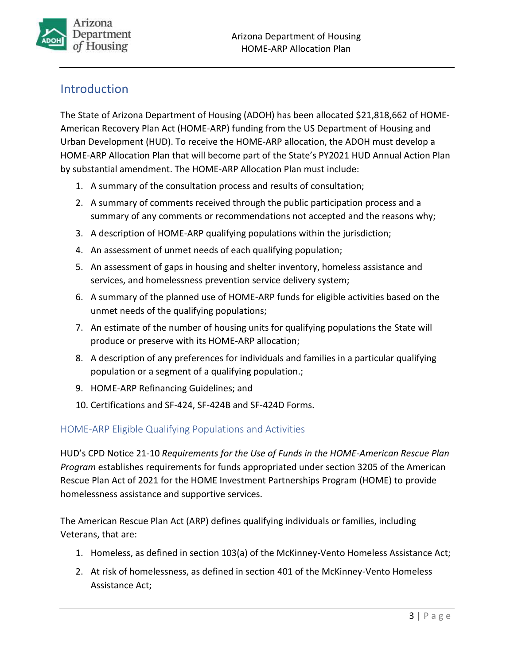

# <span id="page-5-0"></span>**Introduction**

The State of Arizona Department of Housing (ADOH) has been allocated \$21,818,662 of HOME-American Recovery Plan Act (HOME-ARP) funding from the US Department of Housing and Urban Development (HUD). To receive the HOME-ARP allocation, the ADOH must develop a HOME-ARP Allocation Plan that will become part of the State's PY2021 HUD Annual Action Plan by substantial amendment. The HOME-ARP Allocation Plan must include:

- 1. A summary of the consultation process and results of consultation;
- 2. A summary of comments received through the public participation process and a summary of any comments or recommendations not accepted and the reasons why;
- 3. A description of HOME-ARP qualifying populations within the jurisdiction;
- 4. An assessment of unmet needs of each qualifying population;
- 5. An assessment of gaps in housing and shelter inventory, homeless assistance and services, and homelessness prevention service delivery system;
- 6. A summary of the planned use of HOME-ARP funds for eligible activities based on the unmet needs of the qualifying populations;
- 7. An estimate of the number of housing units for qualifying populations the State will produce or preserve with its HOME-ARP allocation;
- 8. A description of any preferences for individuals and families in a particular qualifying population or a segment of a qualifying population.;
- 9. HOME-ARP Refinancing Guidelines; and
- 10. Certifications and SF-424, SF-424B and SF-424D Forms.

## <span id="page-5-1"></span>HOME-ARP Eligible Qualifying Populations and Activities

HUD's CPD Notice 21-10 *Requirements for the Use of Funds in the HOME-American Rescue Plan Program* establishes requirements for funds appropriated under section 3205 of the American Rescue Plan Act of 2021 for the HOME Investment Partnerships Program (HOME) to provide homelessness assistance and supportive services.

The American Rescue Plan Act (ARP) defines qualifying individuals or families, including Veterans, that are:

- 1. Homeless, as defined in section 103(a) of the McKinney-Vento Homeless Assistance Act;
- 2. At risk of homelessness, as defined in section 401 of the McKinney-Vento Homeless Assistance Act;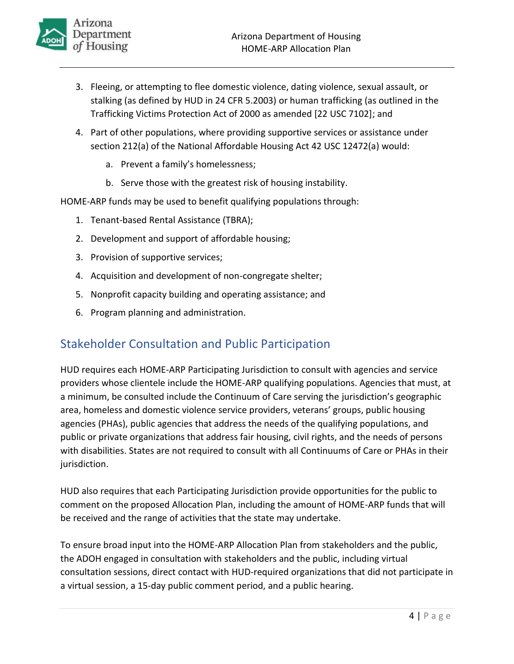

- 3. Fleeing, or attempting to flee domestic violence, dating violence, sexual assault, or stalking (as defined by HUD in 24 CFR 5.2003) or human trafficking (as outlined in the Trafficking Victims Protection Act of 2000 as amended [22 USC 7102]; and
- 4. Part of other populations, where providing supportive services or assistance under section 212(a) of the National Affordable Housing Act 42 USC 12472(a) would:
	- a. Prevent a family's homelessness;
	- b. Serve those with the greatest risk of housing instability.

HOME-ARP funds may be used to benefit qualifying populations through:

- 1. Tenant-based Rental Assistance (TBRA);
- 2. Development and support of affordable housing;
- 3. Provision of supportive services;
- 4. Acquisition and development of non-congregate shelter;
- 5. Nonprofit capacity building and operating assistance; and
- 6. Program planning and administration.

# <span id="page-6-0"></span>Stakeholder Consultation and Public Participation

HUD requires each HOME-ARP Participating Jurisdiction to consult with agencies and service providers whose clientele include the HOME-ARP qualifying populations. Agencies that must, at a minimum, be consulted include the Continuum of Care serving the jurisdiction's geographic area, homeless and domestic violence service providers, veterans' groups, public housing agencies (PHAs), public agencies that address the needs of the qualifying populations, and public or private organizations that address fair housing, civil rights, and the needs of persons with disabilities. States are not required to consult with all Continuums of Care or PHAs in their jurisdiction.

HUD also requires that each Participating Jurisdiction provide opportunities for the public to comment on the proposed Allocation Plan, including the amount of HOME-ARP funds that will be received and the range of activities that the state may undertake.

To ensure broad input into the HOME-ARP Allocation Plan from stakeholders and the public, the ADOH engaged in consultation with stakeholders and the public, including virtual consultation sessions, direct contact with HUD-required organizations that did not participate in a virtual session, a 15-day public comment period, and a public hearing.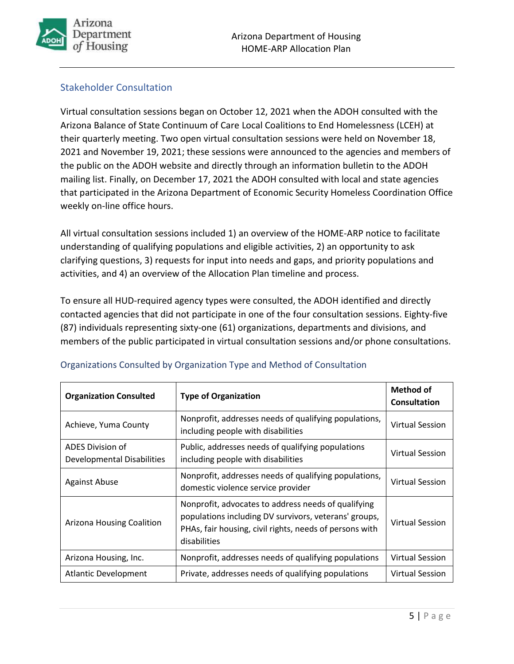

## <span id="page-7-0"></span>Stakeholder Consultation

Virtual consultation sessions began on October 12, 2021 when the ADOH consulted with the Arizona Balance of State Continuum of Care Local Coalitions to End Homelessness (LCEH) at their quarterly meeting. Two open virtual consultation sessions were held on November 18, 2021 and November 19, 2021; these sessions were announced to the agencies and members of the public on the ADOH website and directly through an information bulletin to the ADOH mailing list. Finally, on December 17, 2021 the ADOH consulted with local and state agencies that participated in the Arizona Department of Economic Security Homeless Coordination Office weekly on-line office hours.

All virtual consultation sessions included 1) an overview of the HOME-ARP notice to facilitate understanding of qualifying populations and eligible activities, 2) an opportunity to ask clarifying questions, 3) requests for input into needs and gaps, and priority populations and activities, and 4) an overview of the Allocation Plan timeline and process.

To ensure all HUD-required agency types were consulted, the ADOH identified and directly contacted agencies that did not participate in one of the four consultation sessions. Eighty-five (87) individuals representing sixty-one (61) organizations, departments and divisions, and members of the public participated in virtual consultation sessions and/or phone consultations.

| <b>Organization Consulted</b>                  | <b>Type of Organization</b>                                                                                                                                                             | Method of<br>Consultation |
|------------------------------------------------|-----------------------------------------------------------------------------------------------------------------------------------------------------------------------------------------|---------------------------|
| Achieve, Yuma County                           | Nonprofit, addresses needs of qualifying populations,<br>including people with disabilities                                                                                             | <b>Virtual Session</b>    |
| ADES Division of<br>Developmental Disabilities | Public, addresses needs of qualifying populations<br>including people with disabilities                                                                                                 | <b>Virtual Session</b>    |
| <b>Against Abuse</b>                           | Nonprofit, addresses needs of qualifying populations,<br>domestic violence service provider                                                                                             | <b>Virtual Session</b>    |
| <b>Arizona Housing Coalition</b>               | Nonprofit, advocates to address needs of qualifying<br>populations including DV survivors, veterans' groups,<br>PHAs, fair housing, civil rights, needs of persons with<br>disabilities | <b>Virtual Session</b>    |
| Arizona Housing, Inc.                          | Nonprofit, addresses needs of qualifying populations                                                                                                                                    | <b>Virtual Session</b>    |
| <b>Atlantic Development</b>                    | Private, addresses needs of qualifying populations                                                                                                                                      | <b>Virtual Session</b>    |

## <span id="page-7-1"></span>Organizations Consulted by Organization Type and Method of Consultation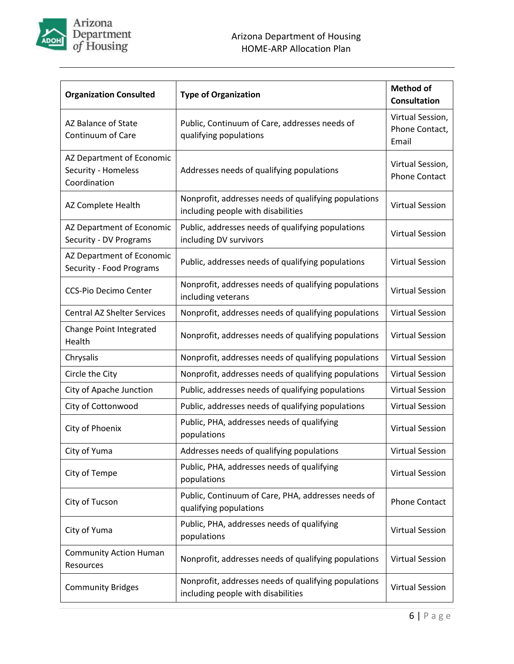

| <b>Organization Consulted</b>                                    | <b>Type of Organization</b>                                                                | <b>Method of</b><br><b>Consultation</b>     |
|------------------------------------------------------------------|--------------------------------------------------------------------------------------------|---------------------------------------------|
| AZ Balance of State<br>Continuum of Care                         | Public, Continuum of Care, addresses needs of<br>qualifying populations                    | Virtual Session,<br>Phone Contact,<br>Email |
| AZ Department of Economic<br>Security - Homeless<br>Coordination | Addresses needs of qualifying populations                                                  | Virtual Session,<br><b>Phone Contact</b>    |
| AZ Complete Health                                               | Nonprofit, addresses needs of qualifying populations<br>including people with disabilities | <b>Virtual Session</b>                      |
| AZ Department of Economic<br>Security - DV Programs              | Public, addresses needs of qualifying populations<br>including DV survivors                | <b>Virtual Session</b>                      |
| AZ Department of Economic<br>Security - Food Programs            | Public, addresses needs of qualifying populations                                          | <b>Virtual Session</b>                      |
| <b>CCS-Pio Decimo Center</b>                                     | Nonprofit, addresses needs of qualifying populations<br>including veterans                 | <b>Virtual Session</b>                      |
| <b>Central AZ Shelter Services</b>                               | Nonprofit, addresses needs of qualifying populations                                       | <b>Virtual Session</b>                      |
| Change Point Integrated<br>Health                                | Nonprofit, addresses needs of qualifying populations                                       | <b>Virtual Session</b>                      |
| Chrysalis                                                        | Nonprofit, addresses needs of qualifying populations                                       | <b>Virtual Session</b>                      |
| Circle the City                                                  | Nonprofit, addresses needs of qualifying populations                                       | <b>Virtual Session</b>                      |
| City of Apache Junction                                          | Public, addresses needs of qualifying populations                                          | <b>Virtual Session</b>                      |
| City of Cottonwood                                               | Public, addresses needs of qualifying populations                                          | <b>Virtual Session</b>                      |
| City of Phoenix                                                  | Public, PHA, addresses needs of qualifying<br>populations                                  | <b>Virtual Session</b>                      |
| City of Yuma                                                     | Addresses needs of qualifying populations                                                  | <b>Virtual Session</b>                      |
| City of Tempe                                                    | Public, PHA, addresses needs of qualifying<br>populations                                  | <b>Virtual Session</b>                      |
| City of Tucson                                                   | Public, Continuum of Care, PHA, addresses needs of<br>qualifying populations               | <b>Phone Contact</b>                        |
| City of Yuma                                                     | Public, PHA, addresses needs of qualifying<br>populations                                  | <b>Virtual Session</b>                      |
| <b>Community Action Human</b><br>Resources                       | Nonprofit, addresses needs of qualifying populations                                       | <b>Virtual Session</b>                      |
| <b>Community Bridges</b>                                         | Nonprofit, addresses needs of qualifying populations<br>including people with disabilities | <b>Virtual Session</b>                      |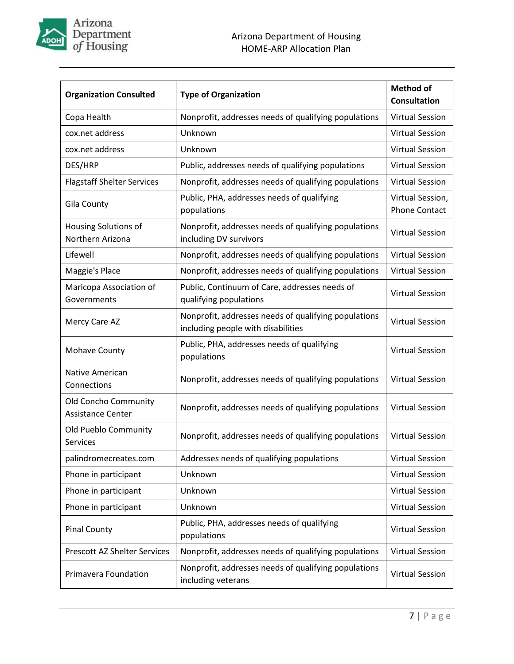

| <b>Organization Consulted</b>                           | <b>Type of Organization</b>                                                                | <b>Method of</b><br><b>Consultation</b>  |
|---------------------------------------------------------|--------------------------------------------------------------------------------------------|------------------------------------------|
| Copa Health                                             | Nonprofit, addresses needs of qualifying populations                                       | <b>Virtual Session</b>                   |
| cox.net address                                         | Unknown                                                                                    | <b>Virtual Session</b>                   |
| cox.net address                                         | Unknown                                                                                    | <b>Virtual Session</b>                   |
| DES/HRP                                                 | Public, addresses needs of qualifying populations                                          | <b>Virtual Session</b>                   |
| <b>Flagstaff Shelter Services</b>                       | Nonprofit, addresses needs of qualifying populations                                       | <b>Virtual Session</b>                   |
| Gila County                                             | Public, PHA, addresses needs of qualifying<br>populations                                  | Virtual Session,<br><b>Phone Contact</b> |
| Housing Solutions of<br>Northern Arizona                | Nonprofit, addresses needs of qualifying populations<br>including DV survivors             | <b>Virtual Session</b>                   |
| Lifewell                                                | Nonprofit, addresses needs of qualifying populations                                       | <b>Virtual Session</b>                   |
| Maggie's Place                                          | Nonprofit, addresses needs of qualifying populations                                       | <b>Virtual Session</b>                   |
| Maricopa Association of<br>Governments                  | Public, Continuum of Care, addresses needs of<br>qualifying populations                    | <b>Virtual Session</b>                   |
| Mercy Care AZ                                           | Nonprofit, addresses needs of qualifying populations<br>including people with disabilities | <b>Virtual Session</b>                   |
| <b>Mohave County</b>                                    | Public, PHA, addresses needs of qualifying<br>populations                                  | <b>Virtual Session</b>                   |
| <b>Native American</b><br>Connections                   | Nonprofit, addresses needs of qualifying populations                                       | <b>Virtual Session</b>                   |
| <b>Old Concho Community</b><br><b>Assistance Center</b> | Nonprofit, addresses needs of qualifying populations                                       | <b>Virtual Session</b>                   |
| Old Pueblo Community<br>Services                        | Nonprofit, addresses needs of qualifying populations                                       | <b>Virtual Session</b>                   |
| palindromecreates.com                                   | Addresses needs of qualifying populations                                                  | <b>Virtual Session</b>                   |
| Phone in participant                                    | Unknown                                                                                    | <b>Virtual Session</b>                   |
| Phone in participant                                    | Unknown                                                                                    | <b>Virtual Session</b>                   |
| Phone in participant                                    | Unknown                                                                                    | <b>Virtual Session</b>                   |
| <b>Pinal County</b>                                     | Public, PHA, addresses needs of qualifying<br>populations                                  | <b>Virtual Session</b>                   |
| <b>Prescott AZ Shelter Services</b>                     | Nonprofit, addresses needs of qualifying populations                                       | <b>Virtual Session</b>                   |
| Primavera Foundation                                    | Nonprofit, addresses needs of qualifying populations<br>including veterans                 | <b>Virtual Session</b>                   |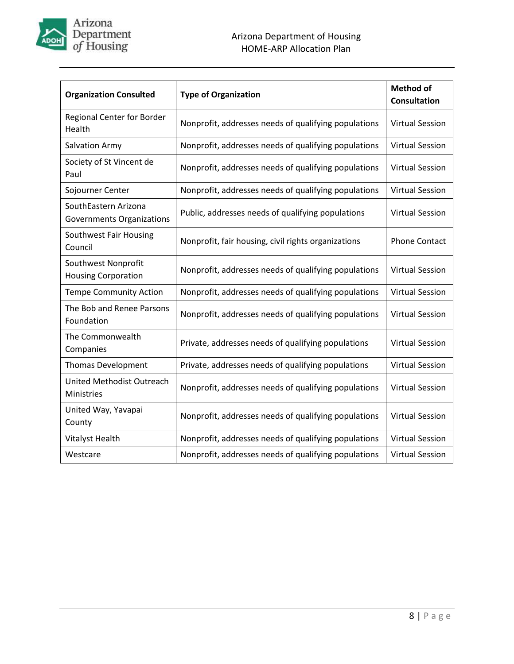

| <b>Organization Consulted</b>                     | <b>Type of Organization</b>                          | <b>Method of</b><br><b>Consultation</b> |
|---------------------------------------------------|------------------------------------------------------|-----------------------------------------|
| <b>Regional Center for Border</b><br>Health       | Nonprofit, addresses needs of qualifying populations | <b>Virtual Session</b>                  |
| Salvation Army                                    | Nonprofit, addresses needs of qualifying populations | <b>Virtual Session</b>                  |
| Society of St Vincent de<br>Paul                  | Nonprofit, addresses needs of qualifying populations | <b>Virtual Session</b>                  |
| Sojourner Center                                  | Nonprofit, addresses needs of qualifying populations | <b>Virtual Session</b>                  |
| SouthEastern Arizona<br>Governments Organizations | Public, addresses needs of qualifying populations    | <b>Virtual Session</b>                  |
| Southwest Fair Housing<br>Council                 | Nonprofit, fair housing, civil rights organizations  | <b>Phone Contact</b>                    |
| Southwest Nonprofit<br><b>Housing Corporation</b> | Nonprofit, addresses needs of qualifying populations | <b>Virtual Session</b>                  |
| <b>Tempe Community Action</b>                     | Nonprofit, addresses needs of qualifying populations | <b>Virtual Session</b>                  |
| The Bob and Renee Parsons<br>Foundation           | Nonprofit, addresses needs of qualifying populations | <b>Virtual Session</b>                  |
| The Commonwealth<br>Companies                     | Private, addresses needs of qualifying populations   | <b>Virtual Session</b>                  |
| <b>Thomas Development</b>                         | Private, addresses needs of qualifying populations   | <b>Virtual Session</b>                  |
| United Methodist Outreach<br>Ministries           | Nonprofit, addresses needs of qualifying populations | <b>Virtual Session</b>                  |
| United Way, Yavapai<br>County                     | Nonprofit, addresses needs of qualifying populations | <b>Virtual Session</b>                  |
| Vitalyst Health                                   | Nonprofit, addresses needs of qualifying populations | <b>Virtual Session</b>                  |
| Westcare                                          | Nonprofit, addresses needs of qualifying populations | <b>Virtual Session</b>                  |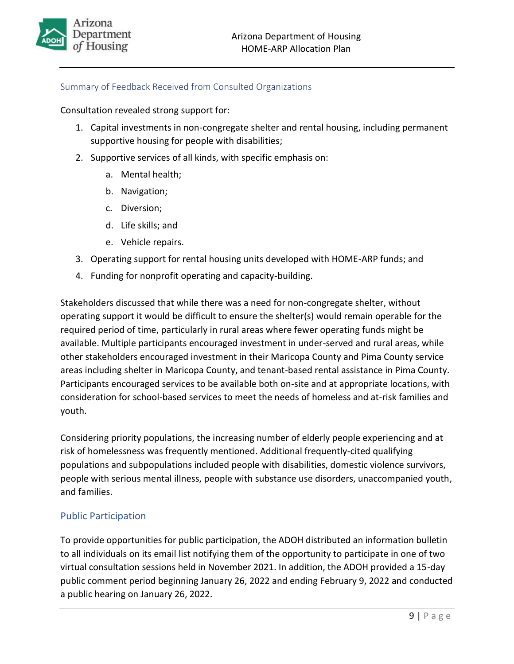

## <span id="page-11-0"></span>Summary of Feedback Received from Consulted Organizations

Consultation revealed strong support for:

- 1. Capital investments in non-congregate shelter and rental housing, including permanent supportive housing for people with disabilities;
- 2. Supportive services of all kinds, with specific emphasis on:
	- a. Mental health;
	- b. Navigation;
	- c. Diversion;
	- d. Life skills; and
	- e. Vehicle repairs.
- 3. Operating support for rental housing units developed with HOME-ARP funds; and
- 4. Funding for nonprofit operating and capacity-building.

Stakeholders discussed that while there was a need for non-congregate shelter, without operating support it would be difficult to ensure the shelter(s) would remain operable for the required period of time, particularly in rural areas where fewer operating funds might be available. Multiple participants encouraged investment in under-served and rural areas, while other stakeholders encouraged investment in their Maricopa County and Pima County service areas including shelter in Maricopa County, and tenant-based rental assistance in Pima County. Participants encouraged services to be available both on-site and at appropriate locations, with consideration for school-based services to meet the needs of homeless and at-risk families and youth.

Considering priority populations, the increasing number of elderly people experiencing and at risk of homelessness was frequently mentioned. Additional frequently-cited qualifying populations and subpopulations included people with disabilities, domestic violence survivors, people with serious mental illness, people with substance use disorders, unaccompanied youth, and families.

## <span id="page-11-1"></span>Public Participation

To provide opportunities for public participation, the ADOH distributed an information bulletin to all individuals on its email list notifying them of the opportunity to participate in one of two virtual consultation sessions held in November 2021. In addition, the ADOH provided a 15-day public comment period beginning January 26, 2022 and ending February 9, 2022 and conducted a public hearing on January 26, 2022.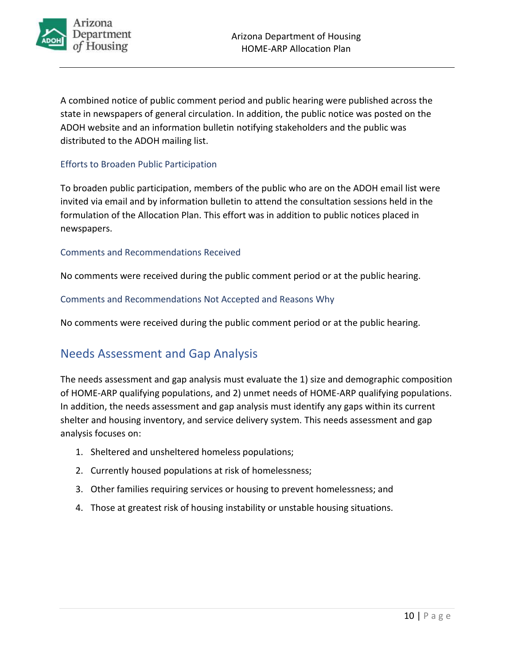

A combined notice of public comment period and public hearing were published across the state in newspapers of general circulation. In addition, the public notice was posted on the ADOH website and an information bulletin notifying stakeholders and the public was distributed to the ADOH mailing list.

### <span id="page-12-0"></span>Efforts to Broaden Public Participation

To broaden public participation, members of the public who are on the ADOH email list were invited via email and by information bulletin to attend the consultation sessions held in the formulation of the Allocation Plan. This effort was in addition to public notices placed in newspapers.

#### <span id="page-12-1"></span>Comments and Recommendations Received

No comments were received during the public comment period or at the public hearing.

<span id="page-12-2"></span>Comments and Recommendations Not Accepted and Reasons Why

<span id="page-12-3"></span>No comments were received during the public comment period or at the public hearing.

# Needs Assessment and Gap Analysis

The needs assessment and gap analysis must evaluate the 1) size and demographic composition of HOME-ARP qualifying populations, and 2) unmet needs of HOME-ARP qualifying populations. In addition, the needs assessment and gap analysis must identify any gaps within its current shelter and housing inventory, and service delivery system. This needs assessment and gap analysis focuses on:

- 1. Sheltered and unsheltered homeless populations;
- 2. Currently housed populations at risk of homelessness;
- 3. Other families requiring services or housing to prevent homelessness; and
- 4. Those at greatest risk of housing instability or unstable housing situations.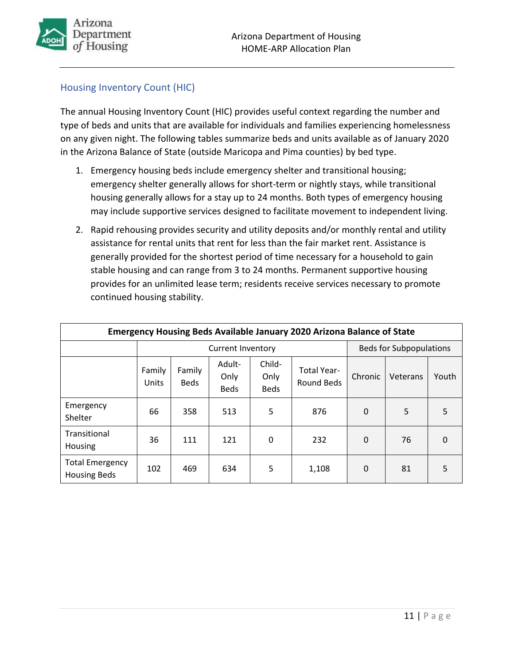

## <span id="page-13-0"></span>Housing Inventory Count (HIC)

The annual Housing Inventory Count (HIC) provides useful context regarding the number and type of beds and units that are available for individuals and families experiencing homelessness on any given night. The following tables summarize beds and units available as of January 2020 in the Arizona Balance of State (outside Maricopa and Pima counties) by bed type.

- 1. Emergency housing beds include emergency shelter and transitional housing; emergency shelter generally allows for short-term or nightly stays, while transitional housing generally allows for a stay up to 24 months. Both types of emergency housing may include supportive services designed to facilitate movement to independent living.
- 2. Rapid rehousing provides security and utility deposits and/or monthly rental and utility assistance for rental units that rent for less than the fair market rent. Assistance is generally provided for the shortest period of time necessary for a household to gain stable housing and can range from 3 to 24 months. Permanent supportive housing provides for an unlimited lease term; residents receive services necessary to promote continued housing stability.

| Emergency Housing Beds Available January 2020 Arizona Balance of State |                          |                       |                               |                               |                                         |          |                                |          |
|------------------------------------------------------------------------|--------------------------|-----------------------|-------------------------------|-------------------------------|-----------------------------------------|----------|--------------------------------|----------|
|                                                                        | <b>Current Inventory</b> |                       |                               |                               |                                         |          | <b>Beds for Subpopulations</b> |          |
|                                                                        | Family<br>Units          | Family<br><b>Beds</b> | Adult-<br>Only<br><b>Beds</b> | Child-<br>Only<br><b>Beds</b> | <b>Total Year-</b><br><b>Round Beds</b> | Chronic  | Veterans                       | Youth    |
| Emergency<br>Shelter                                                   | 66                       | 358                   | 513                           | 5                             | 876                                     | 0        | 5                              | 5        |
| Transitional<br>Housing                                                | 36                       | 111                   | 121                           | 0                             | 232                                     | $\Omega$ | 76                             | $\Omega$ |
| <b>Total Emergency</b><br><b>Housing Beds</b>                          | 102                      | 469                   | 634                           | 5                             | 1,108                                   | $\Omega$ | 81                             | 5        |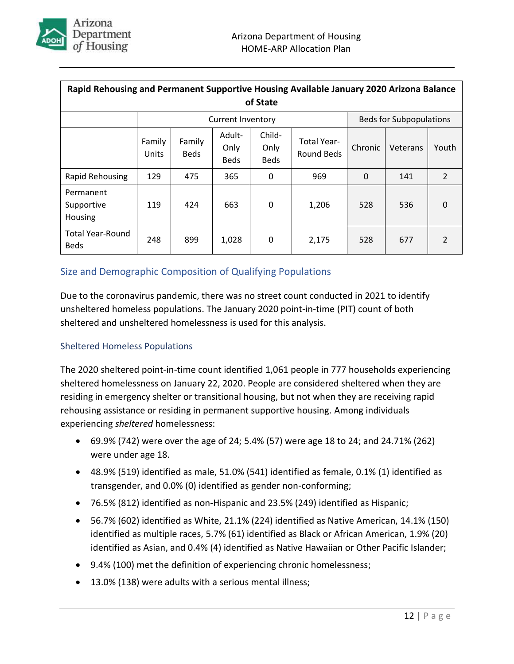

| Rapid Rehousing and Permanent Supportive Housing Available January 2020 Arizona Balance<br>of State |                                                                                                                                                |     |       |              |         |          |       |                |
|-----------------------------------------------------------------------------------------------------|------------------------------------------------------------------------------------------------------------------------------------------------|-----|-------|--------------|---------|----------|-------|----------------|
|                                                                                                     | <b>Beds for Subpopulations</b><br><b>Current Inventory</b>                                                                                     |     |       |              |         |          |       |                |
|                                                                                                     | Child-<br>Adult-<br>Family<br>Family<br><b>Total Year-</b><br>Only<br>Only<br>Round Beds<br><b>Beds</b><br>Units<br><b>Beds</b><br><b>Beds</b> |     |       |              | Chronic | Veterans | Youth |                |
| Rapid Rehousing                                                                                     | 129                                                                                                                                            | 475 | 365   | 0            | 969     | $\Omega$ | 141   | $\overline{2}$ |
| Permanent<br>Supportive<br><b>Housing</b>                                                           | 119                                                                                                                                            | 424 | 663   | $\mathbf{0}$ | 1,206   | 528      | 536   | $\Omega$       |
| <b>Total Year-Round</b><br><b>Beds</b>                                                              | 248                                                                                                                                            | 899 | 1,028 | 0            | 2,175   | 528      | 677   | $\overline{2}$ |

## <span id="page-14-0"></span>Size and Demographic Composition of Qualifying Populations

Due to the coronavirus pandemic, there was no street count conducted in 2021 to identify unsheltered homeless populations. The January 2020 point-in-time (PIT) count of both sheltered and unsheltered homelessness is used for this analysis.

## <span id="page-14-1"></span>Sheltered Homeless Populations

The 2020 sheltered point-in-time count identified 1,061 people in 777 households experiencing sheltered homelessness on January 22, 2020. People are considered sheltered when they are residing in emergency shelter or transitional housing, but not when they are receiving rapid rehousing assistance or residing in permanent supportive housing. Among individuals experiencing *sheltered* homelessness:

- 69.9% (742) were over the age of 24; 5.4% (57) were age 18 to 24; and 24.71% (262) were under age 18.
- 48.9% (519) identified as male, 51.0% (541) identified as female, 0.1% (1) identified as transgender, and 0.0% (0) identified as gender non-conforming;
- 76.5% (812) identified as non-Hispanic and 23.5% (249) identified as Hispanic;
- 56.7% (602) identified as White, 21.1% (224) identified as Native American, 14.1% (150) identified as multiple races, 5.7% (61) identified as Black or African American, 1.9% (20) identified as Asian, and 0.4% (4) identified as Native Hawaiian or Other Pacific Islander;
- 9.4% (100) met the definition of experiencing chronic homelessness;
- 13.0% (138) were adults with a serious mental illness;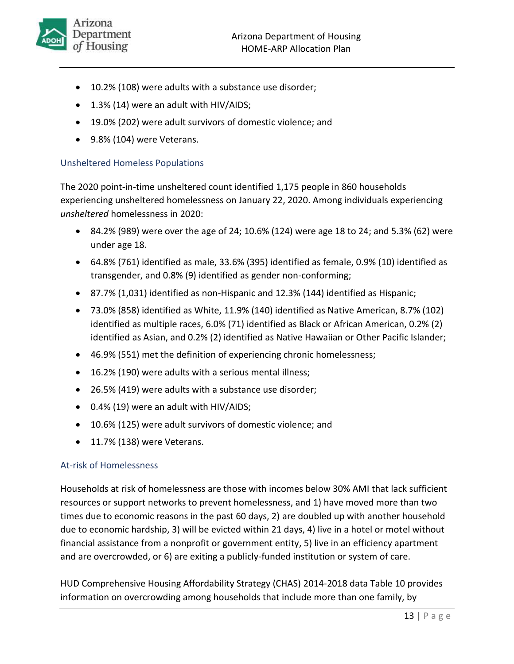- 10.2% (108) were adults with a substance use disorder;
- 1.3% (14) were an adult with HIV/AIDS;
- 19.0% (202) were adult survivors of domestic violence; and
- 9.8% (104) were Veterans.

## <span id="page-15-0"></span>Unsheltered Homeless Populations

The 2020 point-in-time unsheltered count identified 1,175 people in 860 households experiencing unsheltered homelessness on January 22, 2020. Among individuals experiencing *unsheltered* homelessness in 2020:

- 84.2% (989) were over the age of 24; 10.6% (124) were age 18 to 24; and 5.3% (62) were under age 18.
- 64.8% (761) identified as male, 33.6% (395) identified as female, 0.9% (10) identified as transgender, and 0.8% (9) identified as gender non-conforming;
- 87.7% (1,031) identified as non-Hispanic and 12.3% (144) identified as Hispanic;
- 73.0% (858) identified as White, 11.9% (140) identified as Native American, 8.7% (102) identified as multiple races, 6.0% (71) identified as Black or African American, 0.2% (2) identified as Asian, and 0.2% (2) identified as Native Hawaiian or Other Pacific Islander;
- 46.9% (551) met the definition of experiencing chronic homelessness;
- 16.2% (190) were adults with a serious mental illness;
- 26.5% (419) were adults with a substance use disorder;
- 0.4% (19) were an adult with HIV/AIDS;
- 10.6% (125) were adult survivors of domestic violence; and
- 11.7% (138) were Veterans.

## <span id="page-15-1"></span>At-risk of Homelessness

Households at risk of homelessness are those with incomes below 30% AMI that lack sufficient resources or support networks to prevent homelessness, and 1) have moved more than two times due to economic reasons in the past 60 days, 2) are doubled up with another household due to economic hardship, 3) will be evicted within 21 days, 4) live in a hotel or motel without financial assistance from a nonprofit or government entity, 5) live in an efficiency apartment and are overcrowded, or 6) are exiting a publicly-funded institution or system of care.

HUD Comprehensive Housing Affordability Strategy (CHAS) 2014-2018 data Table 10 provides information on overcrowding among households that include more than one family, by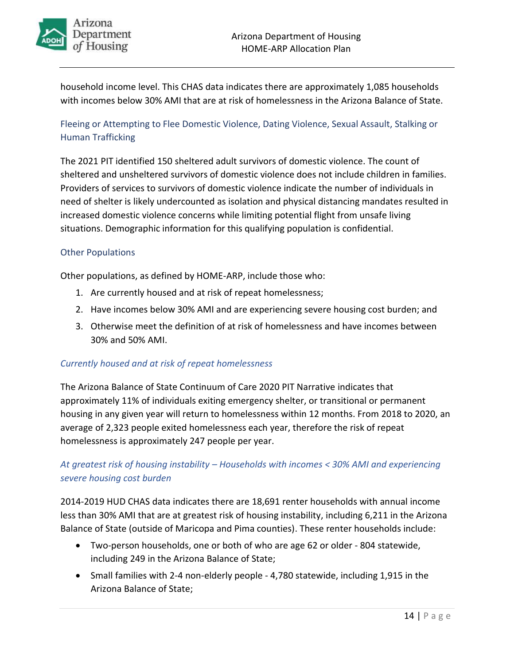

household income level. This CHAS data indicates there are approximately 1,085 households with incomes below 30% AMI that are at risk of homelessness in the Arizona Balance of State.

## <span id="page-16-0"></span>Fleeing or Attempting to Flee Domestic Violence, Dating Violence, Sexual Assault, Stalking or Human Trafficking

The 2021 PIT identified 150 sheltered adult survivors of domestic violence. The count of sheltered and unsheltered survivors of domestic violence does not include children in families. Providers of services to survivors of domestic violence indicate the number of individuals in need of shelter is likely undercounted as isolation and physical distancing mandates resulted in increased domestic violence concerns while limiting potential flight from unsafe living situations. Demographic information for this qualifying population is confidential.

### <span id="page-16-1"></span>Other Populations

Other populations, as defined by HOME-ARP, include those who:

- 1. Are currently housed and at risk of repeat homelessness;
- 2. Have incomes below 30% AMI and are experiencing severe housing cost burden; and
- 3. Otherwise meet the definition of at risk of homelessness and have incomes between 30% and 50% AMI.

#### <span id="page-16-2"></span>*Currently housed and at risk of repeat homelessness*

The Arizona Balance of State Continuum of Care 2020 PIT Narrative indicates that approximately 11% of individuals exiting emergency shelter, or transitional or permanent housing in any given year will return to homelessness within 12 months. From 2018 to 2020, an average of 2,323 people exited homelessness each year, therefore the risk of repeat homelessness is approximately 247 people per year.

## <span id="page-16-3"></span>*At greatest risk of housing instability – Households with incomes < 30% AMI and experiencing severe housing cost burden*

2014-2019 HUD CHAS data indicates there are 18,691 renter households with annual income less than 30% AMI that are at greatest risk of housing instability, including 6,211 in the Arizona Balance of State (outside of Maricopa and Pima counties). These renter households include:

- Two-person households, one or both of who are age 62 or older 804 statewide, including 249 in the Arizona Balance of State;
- Small families with 2-4 non-elderly people 4,780 statewide, including 1,915 in the Arizona Balance of State;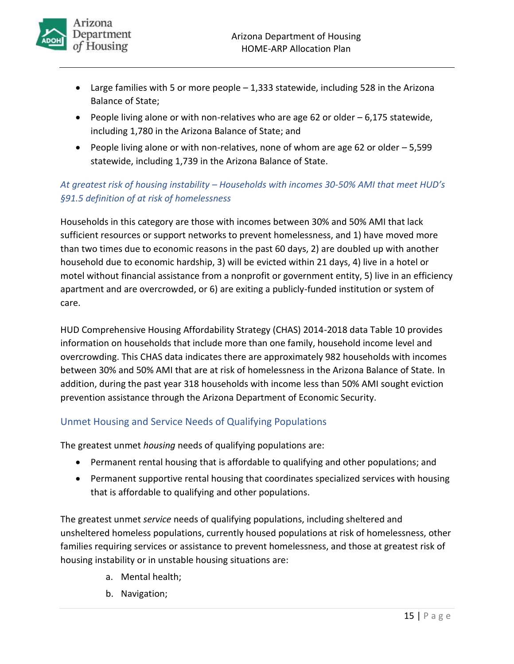- Large families with 5 or more people 1,333 statewide, including 528 in the Arizona Balance of State;
- People living alone or with non-relatives who are age 62 or older 6,175 statewide, including 1,780 in the Arizona Balance of State; and
- People living alone or with non-relatives, none of whom are age 62 or older 5,599 statewide, including 1,739 in the Arizona Balance of State.

## <span id="page-17-0"></span>*At greatest risk of housing instability – Households with incomes 30-50% AMI that meet HUD's §91.5 definition of at risk of homelessness*

Households in this category are those with incomes between 30% and 50% AMI that lack sufficient resources or support networks to prevent homelessness, and 1) have moved more than two times due to economic reasons in the past 60 days, 2) are doubled up with another household due to economic hardship, 3) will be evicted within 21 days, 4) live in a hotel or motel without financial assistance from a nonprofit or government entity, 5) live in an efficiency apartment and are overcrowded, or 6) are exiting a publicly-funded institution or system of care.

HUD Comprehensive Housing Affordability Strategy (CHAS) 2014-2018 data Table 10 provides information on households that include more than one family, household income level and overcrowding. This CHAS data indicates there are approximately 982 households with incomes between 30% and 50% AMI that are at risk of homelessness in the Arizona Balance of State. In addition, during the past year 318 households with income less than 50% AMI sought eviction prevention assistance through the Arizona Department of Economic Security.

## <span id="page-17-1"></span>Unmet Housing and Service Needs of Qualifying Populations

The greatest unmet *housing* needs of qualifying populations are:

- Permanent rental housing that is affordable to qualifying and other populations; and
- Permanent supportive rental housing that coordinates specialized services with housing that is affordable to qualifying and other populations.

The greatest unmet *service* needs of qualifying populations, including sheltered and unsheltered homeless populations, currently housed populations at risk of homelessness, other families requiring services or assistance to prevent homelessness, and those at greatest risk of housing instability or in unstable housing situations are:

- a. Mental health;
- b. Navigation;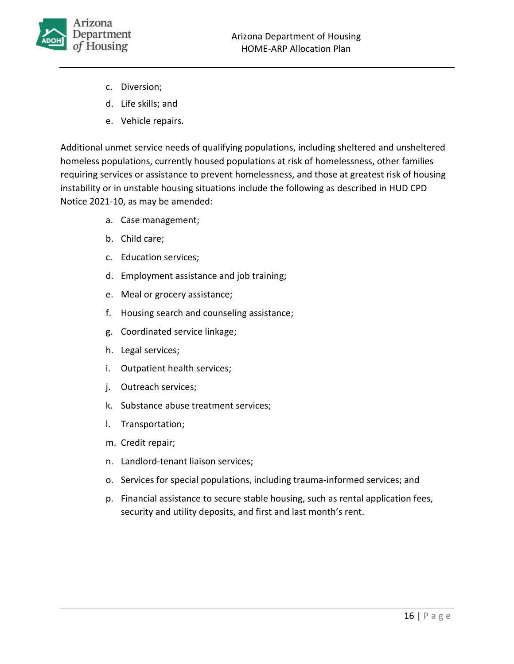

- c. Diversion;
- d. Life skills; and
- e. Vehicle repairs.

Additional unmet service needs of qualifying populations, including sheltered and unsheltered homeless populations, currently housed populations at risk of homelessness, other families requiring services or assistance to prevent homelessness, and those at greatest risk of housing instability or in unstable housing situations include the following as described in HUD CPD Notice 2021-10, as may be amended:

- a. Case management;
- b. Child care;
- c. Education services;
- d. Employment assistance and job training;
- e. Meal or grocery assistance;
- f. Housing search and counseling assistance;
- g. Coordinated service linkage;
- h. Legal services;
- i. Outpatient health services;
- j. Outreach services;
- k. Substance abuse treatment services;
- l. Transportation;
- m. Credit repair;
- n. Landlord-tenant liaison services;
- o. Services for special populations, including trauma-informed services; and
- p. Financial assistance to secure stable housing, such as rental application fees, security and utility deposits, and first and last month's rent.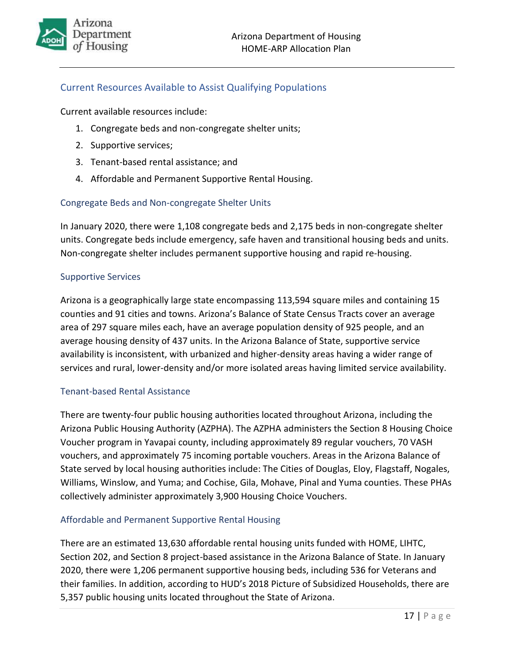## <span id="page-19-0"></span>Current Resources Available to Assist Qualifying Populations

Current available resources include:

- 1. Congregate beds and non-congregate shelter units;
- 2. Supportive services;
- 3. Tenant-based rental assistance; and
- 4. Affordable and Permanent Supportive Rental Housing.

### <span id="page-19-1"></span>Congregate Beds and Non-congregate Shelter Units

In January 2020, there were 1,108 congregate beds and 2,175 beds in non-congregate shelter units. Congregate beds include emergency, safe haven and transitional housing beds and units. Non-congregate shelter includes permanent supportive housing and rapid re-housing.

#### <span id="page-19-2"></span>Supportive Services

Arizona is a geographically large state encompassing 113,594 square miles and containing 15 counties and 91 cities and towns. Arizona's Balance of State Census Tracts cover an average area of 297 square miles each, have an average population density of 925 people, and an average housing density of 437 units. In the Arizona Balance of State, supportive service availability is inconsistent, with urbanized and higher-density areas having a wider range of services and rural, lower-density and/or more isolated areas having limited service availability.

#### <span id="page-19-3"></span>Tenant-based Rental Assistance

There are twenty-four public housing authorities located throughout Arizona, including the Arizona Public Housing Authority (AZPHA). The AZPHA administers the Section 8 Housing Choice Voucher program in Yavapai county, including approximately 89 regular vouchers, 70 VASH vouchers, and approximately 75 incoming portable vouchers. Areas in the Arizona Balance of State served by local housing authorities include: The Cities of Douglas, Eloy, Flagstaff, Nogales, Williams, Winslow, and Yuma; and Cochise, Gila, Mohave, Pinal and Yuma counties. These PHAs collectively administer approximately 3,900 Housing Choice Vouchers.

#### <span id="page-19-4"></span>Affordable and Permanent Supportive Rental Housing

There are an estimated 13,630 affordable rental housing units funded with HOME, LIHTC, Section 202, and Section 8 project-based assistance in the Arizona Balance of State. In January 2020, there were 1,206 permanent supportive housing beds, including 536 for Veterans and their families. In addition, according to HUD's 2018 Picture of Subsidized Households, there are 5,357 public housing units located throughout the State of Arizona.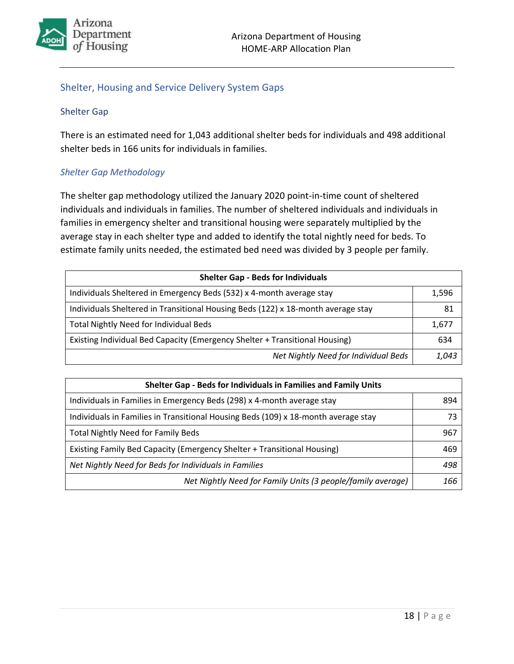

## <span id="page-20-0"></span>Shelter, Housing and Service Delivery System Gaps

#### <span id="page-20-1"></span>Shelter Gap

There is an estimated need for 1,043 additional shelter beds for individuals and 498 additional shelter beds in 166 units for individuals in families.

#### <span id="page-20-2"></span>*Shelter Gap Methodology*

The shelter gap methodology utilized the January 2020 point-in-time count of sheltered individuals and individuals in families. The number of sheltered individuals and individuals in families in emergency shelter and transitional housing were separately multiplied by the average stay in each shelter type and added to identify the total nightly need for beds. To estimate family units needed, the estimated bed need was divided by 3 people per family.

| <b>Shelter Gap - Beds for Individuals</b>                                        |  |  |  |  |
|----------------------------------------------------------------------------------|--|--|--|--|
| Individuals Sheltered in Emergency Beds (532) x 4-month average stay             |  |  |  |  |
| Individuals Sheltered in Transitional Housing Beds (122) x 18-month average stay |  |  |  |  |
| <b>Total Nightly Need for Individual Beds</b>                                    |  |  |  |  |
| Existing Individual Bed Capacity (Emergency Shelter + Transitional Housing)      |  |  |  |  |
| Net Nightly Need for Individual Beds                                             |  |  |  |  |

| Shelter Gap - Beds for Individuals in Families and Family Units                    |     |  |  |
|------------------------------------------------------------------------------------|-----|--|--|
| Individuals in Families in Emergency Beds (298) x 4-month average stay             | 894 |  |  |
| Individuals in Families in Transitional Housing Beds (109) x 18-month average stay | 73  |  |  |
| <b>Total Nightly Need for Family Beds</b>                                          | 967 |  |  |
| Existing Family Bed Capacity (Emergency Shelter + Transitional Housing)            | 469 |  |  |
| Net Nightly Need for Beds for Individuals in Families                              | 498 |  |  |
| Net Nightly Need for Family Units (3 people/family average)                        | 166 |  |  |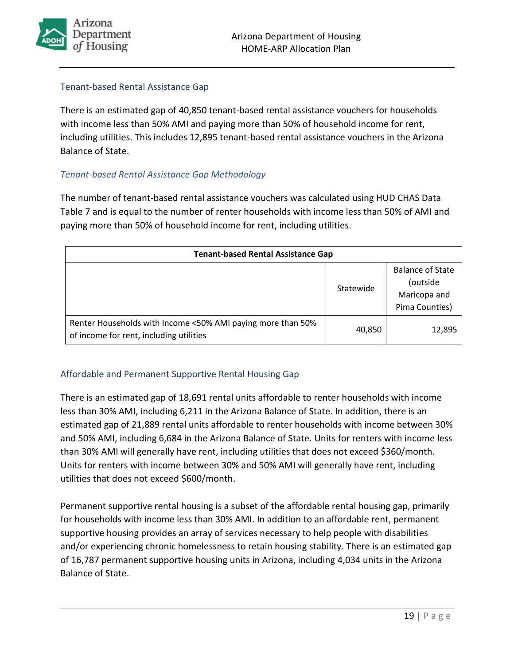

#### <span id="page-21-0"></span>Tenant-based Rental Assistance Gap

There is an estimated gap of 40,850 tenant-based rental assistance vouchers for households with income less than 50% AMI and paying more than 50% of household income for rent, including utilities. This includes 12,895 tenant-based rental assistance vouchers in the Arizona Balance of State.

### <span id="page-21-1"></span>*Tenant-based Rental Assistance Gap Methodology*

The number of tenant-based rental assistance vouchers was calculated using HUD CHAS Data Table 7 and is equal to the number of renter households with income less than 50% of AMI and paying more than 50% of household income for rent, including utilities.

| <b>Tenant-based Rental Assistance Gap</b>                                                              |           |                                                                       |  |  |
|--------------------------------------------------------------------------------------------------------|-----------|-----------------------------------------------------------------------|--|--|
|                                                                                                        | Statewide | <b>Balance of State</b><br>(outside<br>Maricopa and<br>Pima Counties) |  |  |
| Renter Households with Income <50% AMI paying more than 50%<br>of income for rent, including utilities | 40,850    | 12,895                                                                |  |  |

#### <span id="page-21-2"></span>Affordable and Permanent Supportive Rental Housing Gap

There is an estimated gap of 18,691 rental units affordable to renter households with income less than 30% AMI, including 6,211 in the Arizona Balance of State. In addition, there is an estimated gap of 21,889 rental units affordable to renter households with income between 30% and 50% AMI, including 6,684 in the Arizona Balance of State. Units for renters with income less than 30% AMI will generally have rent, including utilities that does not exceed \$360/month. Units for renters with income between 30% and 50% AMI will generally have rent, including utilities that does not exceed \$600/month.

Permanent supportive rental housing is a subset of the affordable rental housing gap, primarily for households with income less than 30% AMI. In addition to an affordable rent, permanent supportive housing provides an array of services necessary to help people with disabilities and/or experiencing chronic homelessness to retain housing stability. There is an estimated gap of 16,787 permanent supportive housing units in Arizona, including 4,034 units in the Arizona Balance of State.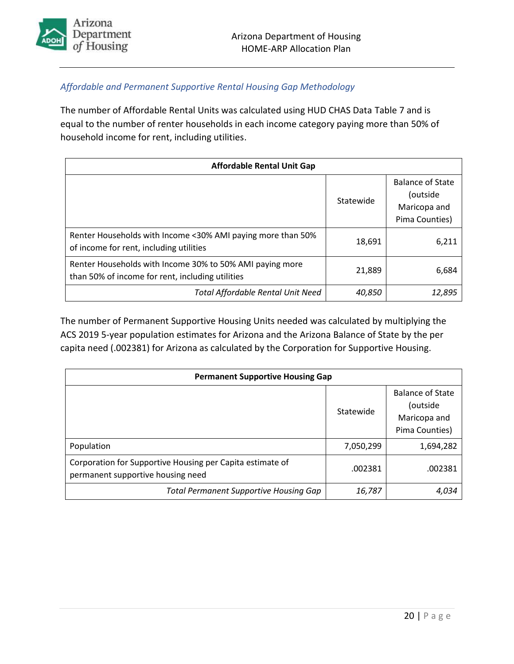

## <span id="page-22-0"></span>*Affordable and Permanent Supportive Rental Housing Gap Methodology*

The number of Affordable Rental Units was calculated using HUD CHAS Data Table 7 and is equal to the number of renter households in each income category paying more than 50% of household income for rent, including utilities.

| <b>Affordable Rental Unit Gap</b>                                                                            |           |                                                                       |  |  |
|--------------------------------------------------------------------------------------------------------------|-----------|-----------------------------------------------------------------------|--|--|
|                                                                                                              | Statewide | <b>Balance of State</b><br>(outside<br>Maricopa and<br>Pima Counties) |  |  |
| Renter Households with Income <30% AMI paying more than 50%<br>of income for rent, including utilities       | 18,691    | 6,211                                                                 |  |  |
| Renter Households with Income 30% to 50% AMI paying more<br>than 50% of income for rent, including utilities | 21,889    | 6,684                                                                 |  |  |
| <b>Total Affordable Rental Unit Need</b>                                                                     | 40,850    | 12,895                                                                |  |  |

The number of Permanent Supportive Housing Units needed was calculated by multiplying the ACS 2019 5-year population estimates for Arizona and the Arizona Balance of State by the per capita need (.002381) for Arizona as calculated by the Corporation for Supportive Housing.

| <b>Permanent Supportive Housing Gap</b>                                                        |           |                                                                       |  |  |
|------------------------------------------------------------------------------------------------|-----------|-----------------------------------------------------------------------|--|--|
|                                                                                                | Statewide | <b>Balance of State</b><br>(outside<br>Maricopa and<br>Pima Counties) |  |  |
| Population                                                                                     | 7,050,299 | 1,694,282                                                             |  |  |
| Corporation for Supportive Housing per Capita estimate of<br>permanent supportive housing need | .002381   | .002381                                                               |  |  |
| <b>Total Permanent Supportive Housing Gap</b>                                                  | 16,787    | 4.034                                                                 |  |  |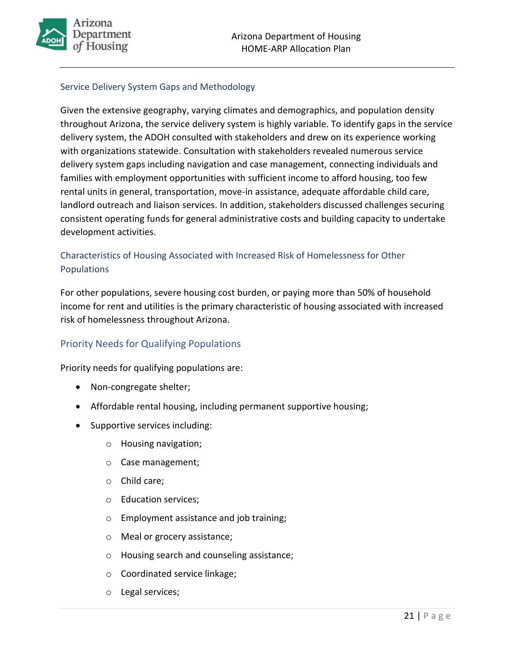

## <span id="page-23-0"></span>Service Delivery System Gaps and Methodology

Given the extensive geography, varying climates and demographics, and population density throughout Arizona, the service delivery system is highly variable. To identify gaps in the service delivery system, the ADOH consulted with stakeholders and drew on its experience working with organizations statewide. Consultation with stakeholders revealed numerous service delivery system gaps including navigation and case management, connecting individuals and families with employment opportunities with sufficient income to afford housing, too few rental units in general, transportation, move-in assistance, adequate affordable child care, landlord outreach and liaison services. In addition, stakeholders discussed challenges securing consistent operating funds for general administrative costs and building capacity to undertake development activities.

## <span id="page-23-1"></span>Characteristics of Housing Associated with Increased Risk of Homelessness for Other Populations

For other populations, severe housing cost burden, or paying more than 50% of household income for rent and utilities is the primary characteristic of housing associated with increased risk of homelessness throughout Arizona.

## <span id="page-23-2"></span>Priority Needs for Qualifying Populations

Priority needs for qualifying populations are:

- Non-congregate shelter;
- Affordable rental housing, including permanent supportive housing;
- Supportive services including:
	- o Housing navigation;
	- o Case management;
	- o Child care;
	- o Education services;
	- o Employment assistance and job training;
	- o Meal or grocery assistance;
	- o Housing search and counseling assistance;
	- o Coordinated service linkage;
	- o Legal services;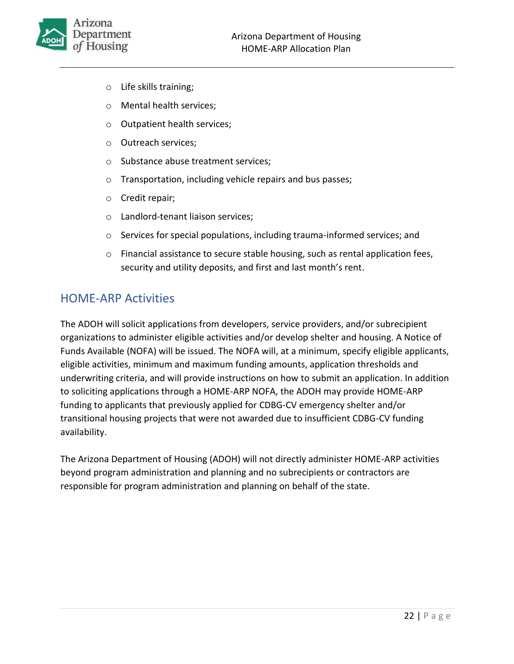

- o Life skills training;
- o Mental health services;
- o Outpatient health services;
- o Outreach services;
- o Substance abuse treatment services;
- o Transportation, including vehicle repairs and bus passes;
- o Credit repair;
- o Landlord-tenant liaison services;
- o Services for special populations, including trauma-informed services; and
- $\circ$  Financial assistance to secure stable housing, such as rental application fees, security and utility deposits, and first and last month's rent.

## <span id="page-24-0"></span>HOME-ARP Activities

The ADOH will solicit applications from developers, service providers, and/or subrecipient organizations to administer eligible activities and/or develop shelter and housing. A Notice of Funds Available (NOFA) will be issued. The NOFA will, at a minimum, specify eligible applicants, eligible activities, minimum and maximum funding amounts, application thresholds and underwriting criteria, and will provide instructions on how to submit an application. In addition to soliciting applications through a HOME-ARP NOFA, the ADOH may provide HOME-ARP funding to applicants that previously applied for CDBG-CV emergency shelter and/or transitional housing projects that were not awarded due to insufficient CDBG-CV funding availability.

The Arizona Department of Housing (ADOH) will not directly administer HOME-ARP activities beyond program administration and planning and no subrecipients or contractors are responsible for program administration and planning on behalf of the state.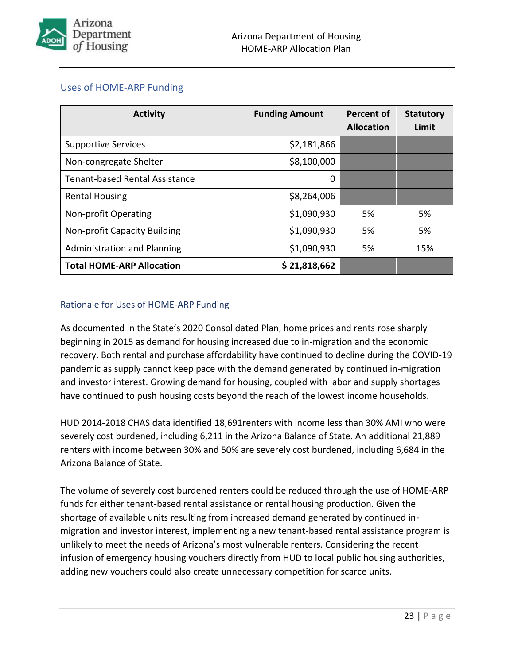

## <span id="page-25-0"></span>Uses of HOME-ARP Funding

| <b>Activity</b>                       | <b>Funding Amount</b> | Percent of<br><b>Allocation</b> | <b>Statutory</b><br>Limit |
|---------------------------------------|-----------------------|---------------------------------|---------------------------|
| <b>Supportive Services</b>            | \$2,181,866           |                                 |                           |
| Non-congregate Shelter                | \$8,100,000           |                                 |                           |
| <b>Tenant-based Rental Assistance</b> | 0                     |                                 |                           |
| <b>Rental Housing</b>                 | \$8,264,006           |                                 |                           |
| Non-profit Operating                  | \$1,090,930           | 5%                              | 5%                        |
| <b>Non-profit Capacity Building</b>   | \$1,090,930           | 5%                              | 5%                        |
| <b>Administration and Planning</b>    | \$1,090,930           | 5%                              | 15%                       |
| <b>Total HOME-ARP Allocation</b>      | \$21,818,662          |                                 |                           |

## <span id="page-25-1"></span>Rationale for Uses of HOME-ARP Funding

As documented in the State's 2020 Consolidated Plan, home prices and rents rose sharply beginning in 2015 as demand for housing increased due to in-migration and the economic recovery. Both rental and purchase affordability have continued to decline during the COVID-19 pandemic as supply cannot keep pace with the demand generated by continued in-migration and investor interest. Growing demand for housing, coupled with labor and supply shortages have continued to push housing costs beyond the reach of the lowest income households.

HUD 2014-2018 CHAS data identified 18,691renters with income less than 30% AMI who were severely cost burdened, including 6,211 in the Arizona Balance of State. An additional 21,889 renters with income between 30% and 50% are severely cost burdened, including 6,684 in the Arizona Balance of State.

The volume of severely cost burdened renters could be reduced through the use of HOME-ARP funds for either tenant-based rental assistance or rental housing production. Given the shortage of available units resulting from increased demand generated by continued inmigration and investor interest, implementing a new tenant-based rental assistance program is unlikely to meet the needs of Arizona's most vulnerable renters. Considering the recent infusion of emergency housing vouchers directly from HUD to local public housing authorities, adding new vouchers could also create unnecessary competition for scarce units.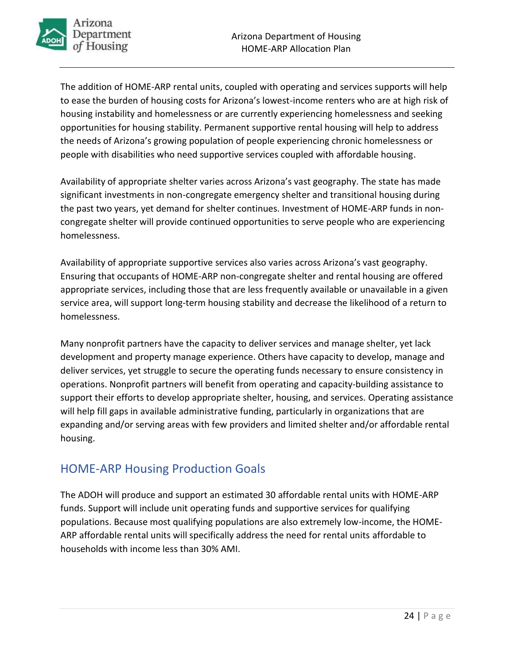

The addition of HOME-ARP rental units, coupled with operating and services supports will help to ease the burden of housing costs for Arizona's lowest-income renters who are at high risk of housing instability and homelessness or are currently experiencing homelessness and seeking opportunities for housing stability. Permanent supportive rental housing will help to address the needs of Arizona's growing population of people experiencing chronic homelessness or people with disabilities who need supportive services coupled with affordable housing.

Availability of appropriate shelter varies across Arizona's vast geography. The state has made significant investments in non-congregate emergency shelter and transitional housing during the past two years, yet demand for shelter continues. Investment of HOME-ARP funds in noncongregate shelter will provide continued opportunities to serve people who are experiencing homelessness.

Availability of appropriate supportive services also varies across Arizona's vast geography. Ensuring that occupants of HOME-ARP non-congregate shelter and rental housing are offered appropriate services, including those that are less frequently available or unavailable in a given service area, will support long-term housing stability and decrease the likelihood of a return to homelessness.

Many nonprofit partners have the capacity to deliver services and manage shelter, yet lack development and property manage experience. Others have capacity to develop, manage and deliver services, yet struggle to secure the operating funds necessary to ensure consistency in operations. Nonprofit partners will benefit from operating and capacity-building assistance to support their efforts to develop appropriate shelter, housing, and services. Operating assistance will help fill gaps in available administrative funding, particularly in organizations that are expanding and/or serving areas with few providers and limited shelter and/or affordable rental housing.

# <span id="page-26-0"></span>HOME-ARP Housing Production Goals

The ADOH will produce and support an estimated 30 affordable rental units with HOME-ARP funds. Support will include unit operating funds and supportive services for qualifying populations. Because most qualifying populations are also extremely low-income, the HOME-ARP affordable rental units will specifically address the need for rental units affordable to households with income less than 30% AMI.